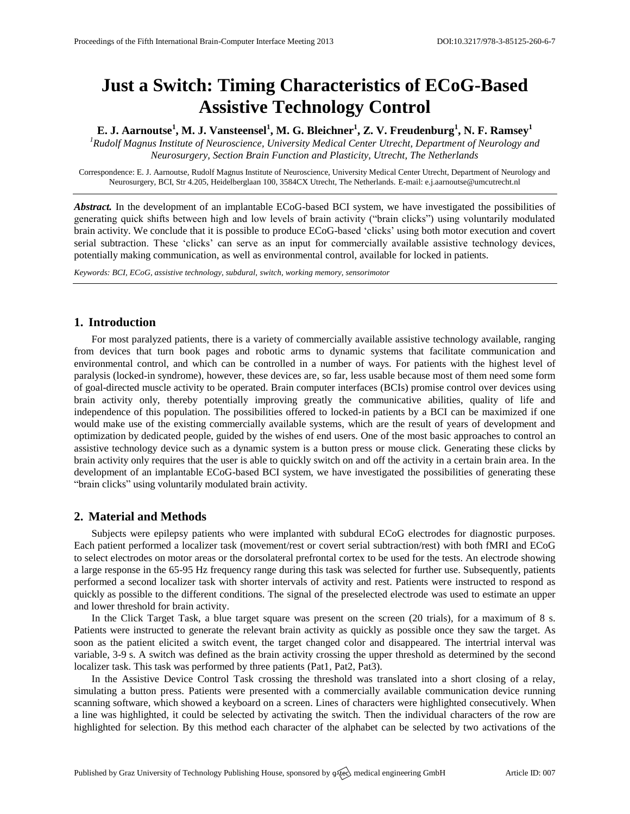# **Just a Switch: Timing Characteristics of ECoG-Based Assistive Technology Control**

**E. J. Aarnoutse<sup>1</sup> , M. J. Vansteensel<sup>1</sup> , M. G. Bleichner<sup>1</sup> , Z. V. Freudenburg<sup>1</sup> , N. F. Ramsey<sup>1</sup>**

*<sup>1</sup>Rudolf Magnus Institute of Neuroscience, University Medical Center Utrecht, Department of Neurology and Neurosurgery, Section Brain Function and Plasticity, Utrecht, The Netherlands*

Correspondence: E. J. Aarnoutse, Rudolf Magnus Institute of Neuroscience, University Medical Center Utrecht, Department of Neurology and Neurosurgery, BCI, Str 4.205, Heidelberglaan 100, 3584CX Utrecht, The Netherlands. E-mail[: e.j.aarnoutse@umcutrecht.nl](mailto:e.j.aarnoutse@umcutrecht.nl)

*Abstract.* In the development of an implantable ECoG-based BCI system, we have investigated the possibilities of generating quick shifts between high and low levels of brain activity ("brain clicks") using voluntarily modulated brain activity. We conclude that it is possible to produce ECoG-based 'clicks' using both motor execution and covert serial subtraction. These 'clicks' can serve as an input for commercially available assistive technology devices, potentially making communication, as well as environmental control, available for locked in patients.

*Keywords: BCI, ECoG, assistive technology, subdural, switch, working memory, sensorimotor*

## **1. Introduction**

For most paralyzed patients, there is a variety of commercially available assistive technology available, ranging from devices that turn book pages and robotic arms to dynamic systems that facilitate communication and environmental control, and which can be controlled in a number of ways. For patients with the highest level of paralysis (locked-in syndrome), however, these devices are, so far, less usable because most of them need some form of goal-directed muscle activity to be operated. Brain computer interfaces (BCIs) promise control over devices using brain activity only, thereby potentially improving greatly the communicative abilities, quality of life and independence of this population. The possibilities offered to locked-in patients by a BCI can be maximized if one would make use of the existing commercially available systems, which are the result of years of development and optimization by dedicated people, guided by the wishes of end users. One of the most basic approaches to control an assistive technology device such as a dynamic system is a button press or mouse click. Generating these clicks by brain activity only requires that the user is able to quickly switch on and off the activity in a certain brain area. In the development of an implantable ECoG-based BCI system, we have investigated the possibilities of generating these "brain clicks" using voluntarily modulated brain activity.

#### **2. Material and Methods**

Subjects were epilepsy patients who were implanted with subdural ECoG electrodes for diagnostic purposes. Each patient performed a localizer task (movement/rest or covert serial subtraction/rest) with both fMRI and ECoG to select electrodes on motor areas or the dorsolateral prefrontal cortex to be used for the tests. An electrode showing a large response in the 65-95 Hz frequency range during this task was selected for further use. Subsequently, patients performed a second localizer task with shorter intervals of activity and rest. Patients were instructed to respond as quickly as possible to the different conditions. The signal of the preselected electrode was used to estimate an upper and lower threshold for brain activity.

In the Click Target Task, a blue target square was present on the screen (20 trials), for a maximum of 8 s. Patients were instructed to generate the relevant brain activity as quickly as possible once they saw the target. As soon as the patient elicited a switch event, the target changed color and disappeared. The intertrial interval was variable, 3-9 s. A switch was defined as the brain activity crossing the upper threshold as determined by the second localizer task. This task was performed by three patients (Pat1, Pat2, Pat3).

In the Assistive Device Control Task crossing the threshold was translated into a short closing of a relay, simulating a button press. Patients were presented with a commercially available communication device running scanning software, which showed a keyboard on a screen. Lines of characters were highlighted consecutively. When a line was highlighted, it could be selected by activating the switch. Then the individual characters of the row are highlighted for selection. By this method each character of the alphabet can be selected by two activations of the